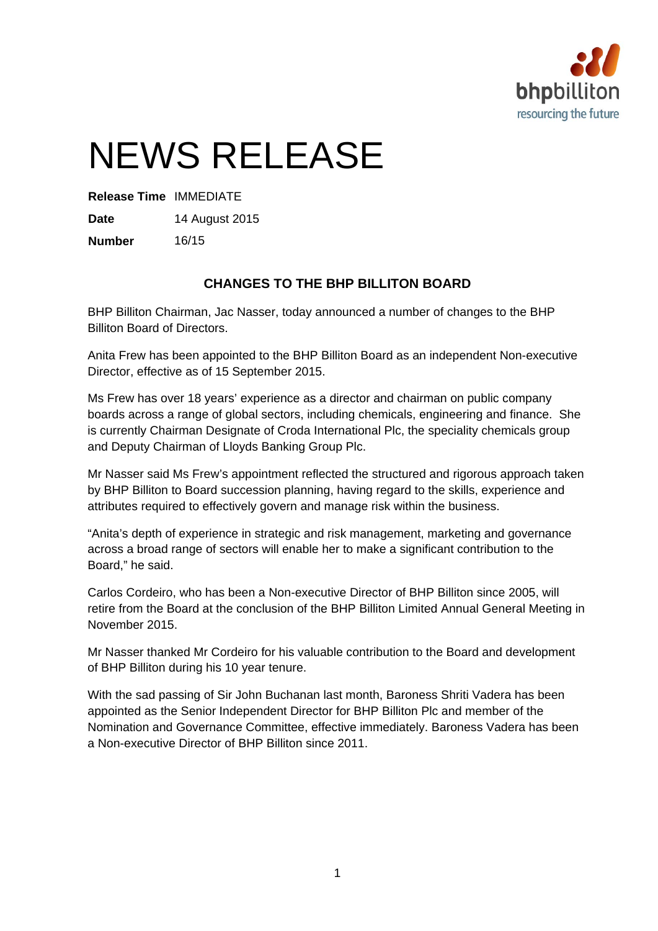

# NEWS RELEASE

**Release Time** IMMEDIATE

**Date** 14 August 2015

**Number** 16/15

## **CHANGES TO THE BHP BILLITON BOARD**

BHP Billiton Chairman, Jac Nasser, today announced a number of changes to the BHP Billiton Board of Directors.

Anita Frew has been appointed to the BHP Billiton Board as an independent Non-executive Director, effective as of 15 September 2015.

Ms Frew has over 18 years' experience as a director and chairman on public company boards across a range of global sectors, including chemicals, engineering and finance. She is currently Chairman Designate of Croda International Plc, the speciality chemicals group and Deputy Chairman of Lloyds Banking Group Plc.

Mr Nasser said Ms Frew's appointment reflected the structured and rigorous approach taken by BHP Billiton to Board succession planning, having regard to the skills, experience and attributes required to effectively govern and manage risk within the business.

"Anita's depth of experience in strategic and risk management, marketing and governance across a broad range of sectors will enable her to make a significant contribution to the Board," he said.

Carlos Cordeiro, who has been a Non-executive Director of BHP Billiton since 2005, will retire from the Board at the conclusion of the BHP Billiton Limited Annual General Meeting in November 2015.

Mr Nasser thanked Mr Cordeiro for his valuable contribution to the Board and development of BHP Billiton during his 10 year tenure.

With the sad passing of Sir John Buchanan last month, Baroness Shriti Vadera has been appointed as the Senior Independent Director for BHP Billiton Plc and member of the Nomination and Governance Committee, effective immediately. Baroness Vadera has been a Non-executive Director of BHP Billiton since 2011.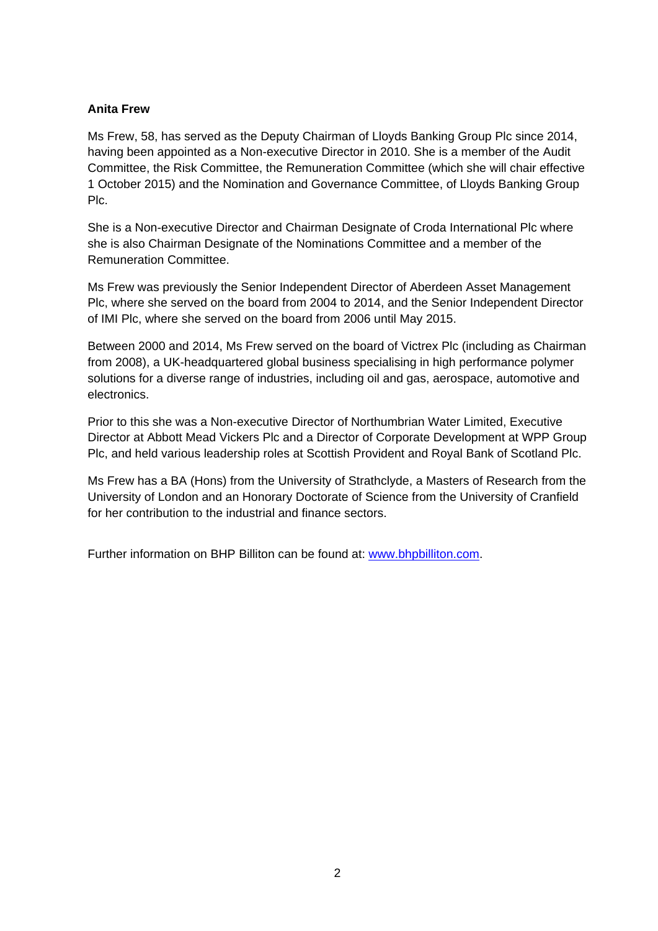### **Anita Frew**

Ms Frew, 58, has served as the Deputy Chairman of Lloyds Banking Group Plc since 2014, having been appointed as a Non-executive Director in 2010. She is a member of the Audit Committee, the Risk Committee, the Remuneration Committee (which she will chair effective 1 October 2015) and the Nomination and Governance Committee, of Lloyds Banking Group Plc.

She is a Non-executive Director and Chairman Designate of Croda International Plc where she is also Chairman Designate of the Nominations Committee and a member of the Remuneration Committee.

Ms Frew was previously the Senior Independent Director of Aberdeen Asset Management Plc, where she served on the board from 2004 to 2014, and the Senior Independent Director of IMI Plc, where she served on the board from 2006 until May 2015.

Between 2000 and 2014, Ms Frew served on the board of Victrex Plc (including as Chairman from 2008), a UK-headquartered global business specialising in high performance polymer solutions for a diverse range of industries, including oil and gas, aerospace, automotive and electronics.

Prior to this she was a Non-executive Director of Northumbrian Water Limited, Executive Director at Abbott Mead Vickers Plc and a Director of Corporate Development at WPP Group Plc, and held various leadership roles at Scottish Provident and Royal Bank of Scotland Plc.

Ms Frew has a BA (Hons) from the University of Strathclyde, a Masters of Research from the University of London and an Honorary Doctorate of Science from the University of Cranfield for her contribution to the industrial and finance sectors.

Further information on BHP Billiton can be found at: www.bhpbilliton.com.